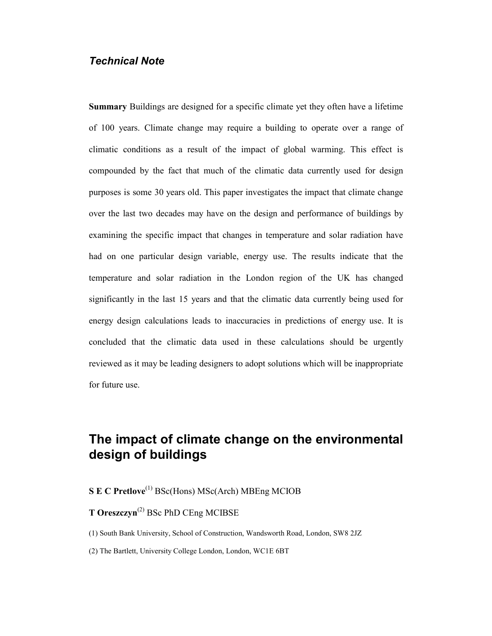# Technical Note

Summary Buildings are designed for a specific climate yet they often have a lifetime of 100 years. Climate change may require a building to operate over a range of climatic conditions as a result of the impact of global warming. This effect is compounded by the fact that much of the climatic data currently used for design purposes is some 30 years old. This paper investigates the impact that climate change over the last two decades may have on the design and performance of buildings by examining the specific impact that changes in temperature and solar radiation have had on one particular design variable, energy use. The results indicate that the temperature and solar radiation in the London region of the UK has changed significantly in the last 15 years and that the climatic data currently being used for energy design calculations leads to inaccuracies in predictions of energy use. It is concluded that the climatic data used in these calculations should be urgently reviewed as it may be leading designers to adopt solutions which will be inappropriate for future use.

# The impact of climate change on the environmental design of buildings

# S E C Pretlove<sup>(1)</sup> BSc(Hons) MSc(Arch) MBEng MCIOB

### **T Oreszczyn**<sup>(2)</sup> BSc PhD CEng MCIBSE

(1) South Bank University, School of Construction, Wandsworth Road, London, SW8 2JZ

(2) The Bartlett, University College London, London, WC1E 6BT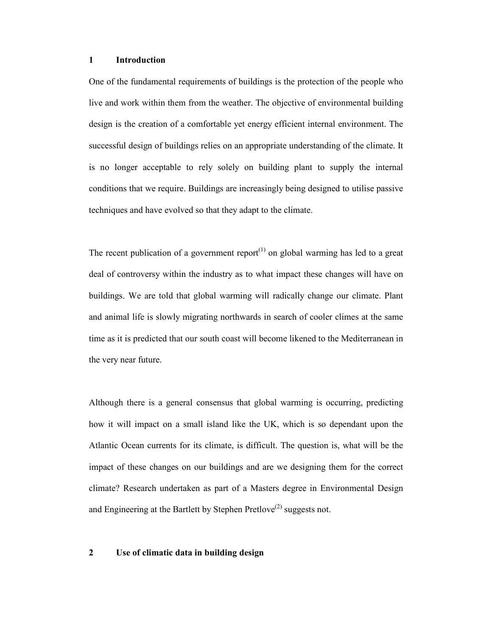#### 1 Introduction

One of the fundamental requirements of buildings is the protection of the people who live and work within them from the weather. The objective of environmental building design is the creation of a comfortable yet energy efficient internal environment. The successful design of buildings relies on an appropriate understanding of the climate. It is no longer acceptable to rely solely on building plant to supply the internal conditions that we require. Buildings are increasingly being designed to utilise passive techniques and have evolved so that they adapt to the climate.

The recent publication of a government report<sup> $(1)$ </sup> on global warming has led to a great deal of controversy within the industry as to what impact these changes will have on buildings. We are told that global warming will radically change our climate. Plant and animal life is slowly migrating northwards in search of cooler climes at the same time as it is predicted that our south coast will become likened to the Mediterranean in the very near future.

Although there is a general consensus that global warming is occurring, predicting how it will impact on a small island like the UK, which is so dependant upon the Atlantic Ocean currents for its climate, is difficult. The question is, what will be the impact of these changes on our buildings and are we designing them for the correct climate? Research undertaken as part of a Masters degree in Environmental Design and Engineering at the Bartlett by Stephen Pretlove<sup>(2)</sup> suggests not.

#### 2 Use of climatic data in building design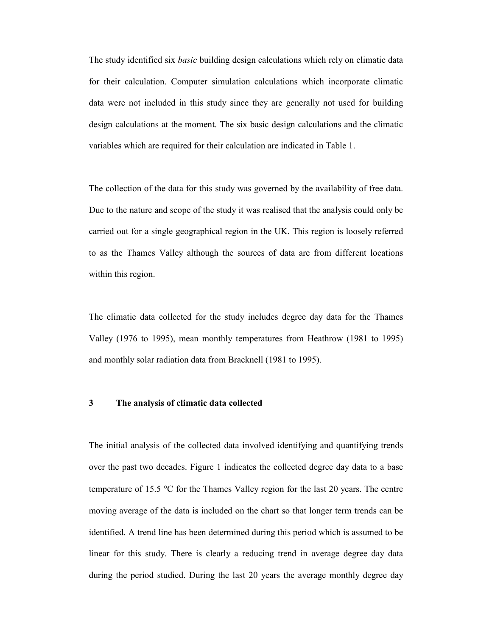The study identified six *basic* building design calculations which rely on climatic data for their calculation. Computer simulation calculations which incorporate climatic data were not included in this study since they are generally not used for building design calculations at the moment. The six basic design calculations and the climatic variables which are required for their calculation are indicated in Table 1.

The collection of the data for this study was governed by the availability of free data. Due to the nature and scope of the study it was realised that the analysis could only be carried out for a single geographical region in the UK. This region is loosely referred to as the Thames Valley although the sources of data are from different locations within this region.

The climatic data collected for the study includes degree day data for the Thames Valley (1976 to 1995), mean monthly temperatures from Heathrow (1981 to 1995) and monthly solar radiation data from Bracknell (1981 to 1995).

#### 3 The analysis of climatic data collected

The initial analysis of the collected data involved identifying and quantifying trends over the past two decades. Figure 1 indicates the collected degree day data to a base temperature of 15.5 °C for the Thames Valley region for the last 20 years. The centre moving average of the data is included on the chart so that longer term trends can be identified. A trend line has been determined during this period which is assumed to be linear for this study. There is clearly a reducing trend in average degree day data during the period studied. During the last 20 years the average monthly degree day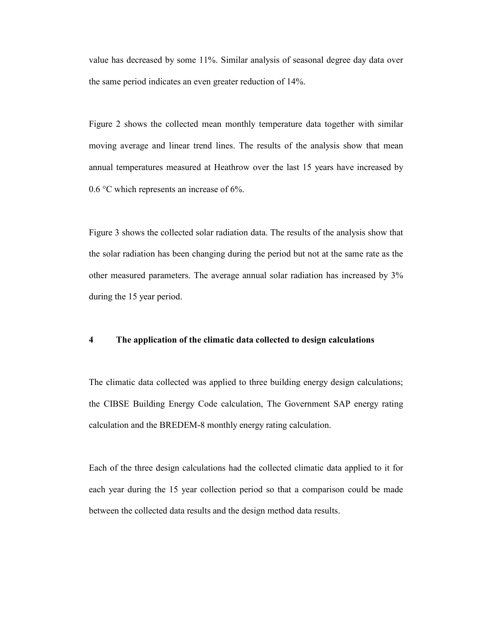value has decreased by some 11%. Similar analysis of seasonal degree day data over the same period indicates an even greater reduction of 14%.

Figure 2 shows the collected mean monthly temperature data together with similar moving average and linear trend lines. The results of the analysis show that mean annual temperatures measured at Heathrow over the last 15 years have increased by 0.6 °C which represents an increase of 6%.

Figure 3 shows the collected solar radiation data. The results of the analysis show that the solar radiation has been changing during the period but not at the same rate as the other measured parameters. The average annual solar radiation has increased by 3% during the 15 year period.

#### 4 The application of the climatic data collected to design calculations

The climatic data collected was applied to three building energy design calculations; the CIBSE Building Energy Code calculation, The Government SAP energy rating calculation and the BREDEM-8 monthly energy rating calculation.

Each of the three design calculations had the collected climatic data applied to it for each year during the 15 year collection period so that a comparison could be made between the collected data results and the design method data results.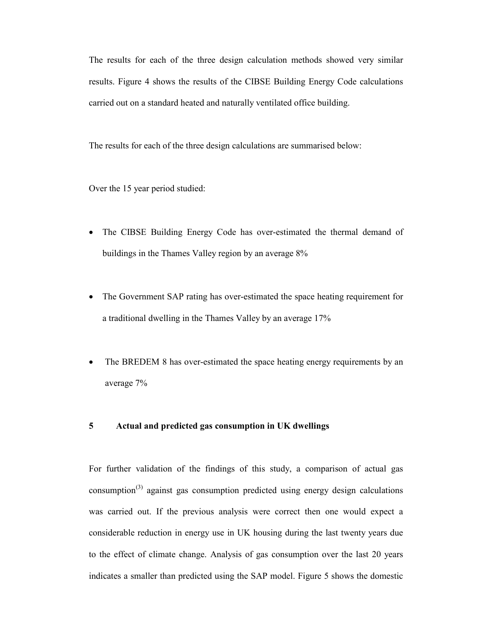The results for each of the three design calculation methods showed very similar results. Figure 4 shows the results of the CIBSE Building Energy Code calculations carried out on a standard heated and naturally ventilated office building.

The results for each of the three design calculations are summarised below:

Over the 15 year period studied:

- The CIBSE Building Energy Code has over-estimated the thermal demand of buildings in the Thames Valley region by an average 8%
- The Government SAP rating has over-estimated the space heating requirement for a traditional dwelling in the Thames Valley by an average 17%
- The BREDEM 8 has over-estimated the space heating energy requirements by an average 7%

#### 5 Actual and predicted gas consumption in UK dwellings

For further validation of the findings of this study, a comparison of actual gas consumption<sup> $(3)$ </sup> against gas consumption predicted using energy design calculations was carried out. If the previous analysis were correct then one would expect a considerable reduction in energy use in UK housing during the last twenty years due to the effect of climate change. Analysis of gas consumption over the last 20 years indicates a smaller than predicted using the SAP model. Figure 5 shows the domestic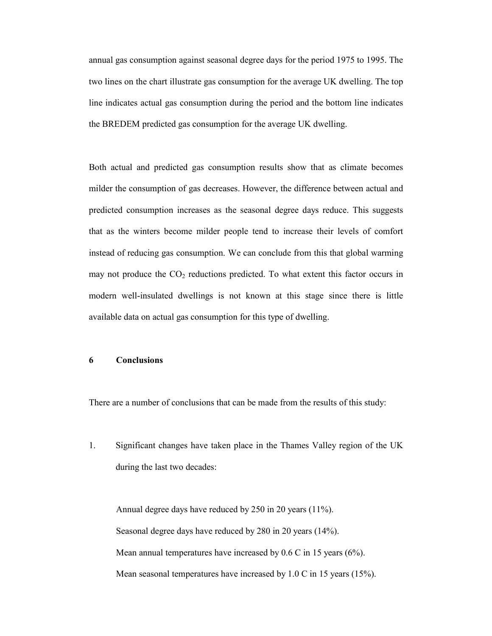annual gas consumption against seasonal degree days for the period 1975 to 1995. The two lines on the chart illustrate gas consumption for the average UK dwelling. The top line indicates actual gas consumption during the period and the bottom line indicates the BREDEM predicted gas consumption for the average UK dwelling.

Both actual and predicted gas consumption results show that as climate becomes milder the consumption of gas decreases. However, the difference between actual and predicted consumption increases as the seasonal degree days reduce. This suggests that as the winters become milder people tend to increase their levels of comfort instead of reducing gas consumption. We can conclude from this that global warming may not produce the  $CO<sub>2</sub>$  reductions predicted. To what extent this factor occurs in modern well-insulated dwellings is not known at this stage since there is little available data on actual gas consumption for this type of dwelling.

#### 6 Conclusions

There are a number of conclusions that can be made from the results of this study:

1. Significant changes have taken place in the Thames Valley region of the UK during the last two decades:

 Annual degree days have reduced by 250 in 20 years (11%). Seasonal degree days have reduced by 280 in 20 years (14%). Mean annual temperatures have increased by 0.6 C in 15 years (6%). Mean seasonal temperatures have increased by 1.0 C in 15 years (15%).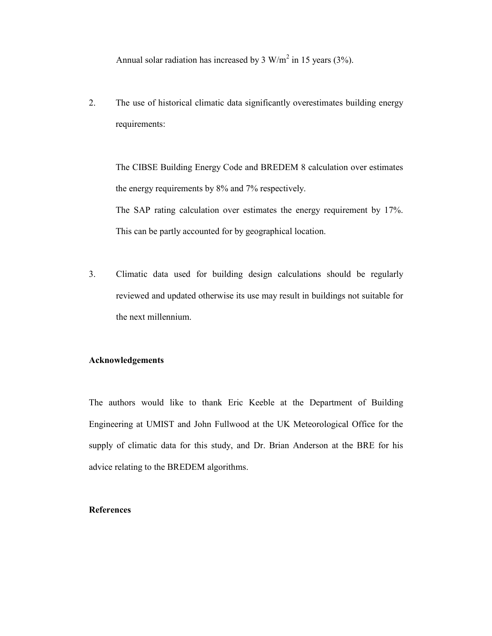Annual solar radiation has increased by 3 W/m<sup>2</sup> in 15 years (3%).

2. The use of historical climatic data significantly overestimates building energy requirements:

 The CIBSE Building Energy Code and BREDEM 8 calculation over estimates the energy requirements by 8% and 7% respectively. The SAP rating calculation over estimates the energy requirement by 17%. This can be partly accounted for by geographical location.

3. Climatic data used for building design calculations should be regularly reviewed and updated otherwise its use may result in buildings not suitable for the next millennium.

#### Acknowledgements

The authors would like to thank Eric Keeble at the Department of Building Engineering at UMIST and John Fullwood at the UK Meteorological Office for the supply of climatic data for this study, and Dr. Brian Anderson at the BRE for his advice relating to the BREDEM algorithms.

## References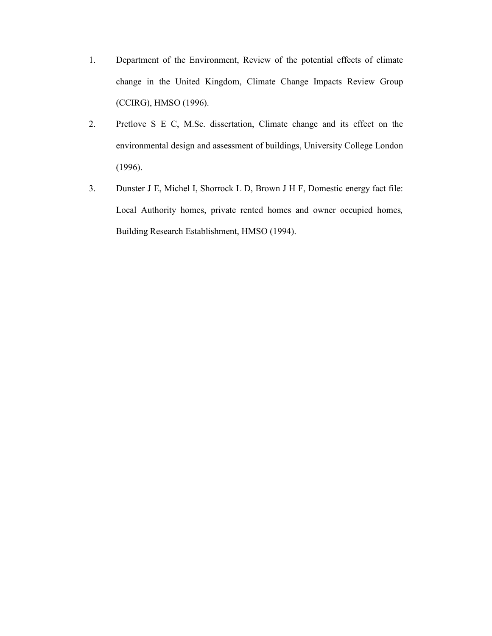- 1. Department of the Environment, Review of the potential effects of climate change in the United Kingdom, Climate Change Impacts Review Group (CCIRG), HMSO (1996).
- 2. Pretlove S E C, M.Sc. dissertation, Climate change and its effect on the environmental design and assessment of buildings, University College London (1996).
- 3. Dunster J E, Michel I, Shorrock L D, Brown J H F, Domestic energy fact file: Local Authority homes, private rented homes and owner occupied homes, Building Research Establishment, HMSO (1994).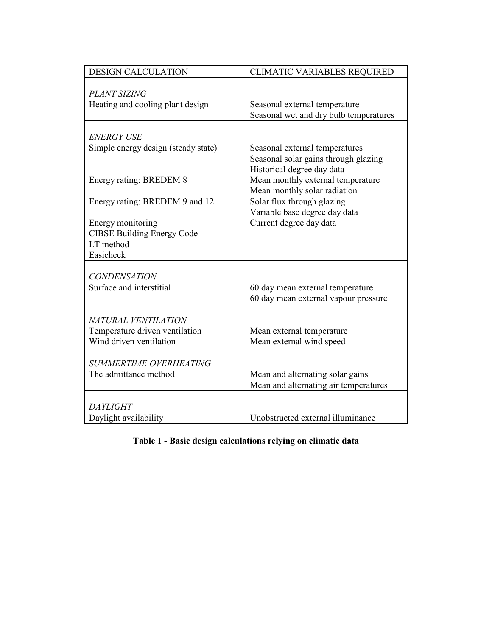| <b>DESIGN CALCULATION</b>                                                        | <b>CLIMATIC VARIABLES REQUIRED</b>                                                                                            |
|----------------------------------------------------------------------------------|-------------------------------------------------------------------------------------------------------------------------------|
| <b>PLANT SIZING</b><br>Heating and cooling plant design                          | Seasonal external temperature<br>Seasonal wet and dry bulb temperatures                                                       |
| <b>ENERGY USE</b><br>Simple energy design (steady state)                         | Seasonal external temperatures<br>Seasonal solar gains through glazing                                                        |
| Energy rating: BREDEM 8<br>Energy rating: BREDEM 9 and 12                        | Historical degree day data<br>Mean monthly external temperature<br>Mean monthly solar radiation<br>Solar flux through glazing |
| Energy monitoring<br><b>CIBSE Building Energy Code</b><br>LT method<br>Easicheck | Variable base degree day data<br>Current degree day data                                                                      |
| <b>CONDENSATION</b><br>Surface and interstitial                                  | 60 day mean external temperature<br>60 day mean external vapour pressure                                                      |
| NATURAL VENTILATION<br>Temperature driven ventilation<br>Wind driven ventilation | Mean external temperature<br>Mean external wind speed                                                                         |
| <b>SUMMERTIME OVERHEATING</b><br>The admittance method                           | Mean and alternating solar gains<br>Mean and alternating air temperatures                                                     |
| <b>DAYLIGHT</b><br>Daylight availability                                         | Unobstructed external illuminance                                                                                             |

Table 1 - Basic design calculations relying on climatic data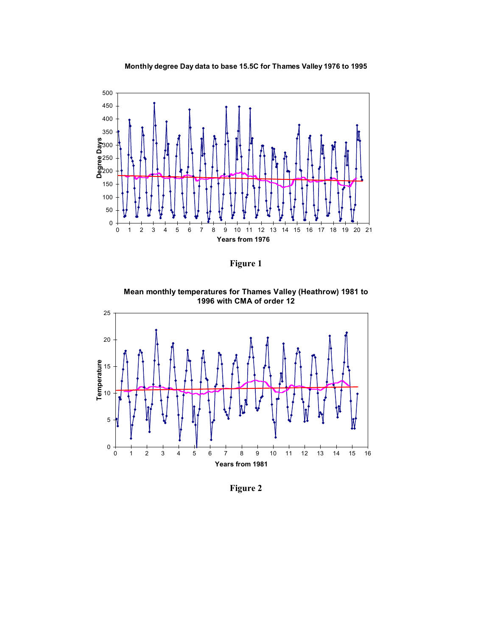



Figure 1

Mean monthly temperatures for Thames Valley (Heathrow) 1981 to 1996 with CMA of order 12



Figure 2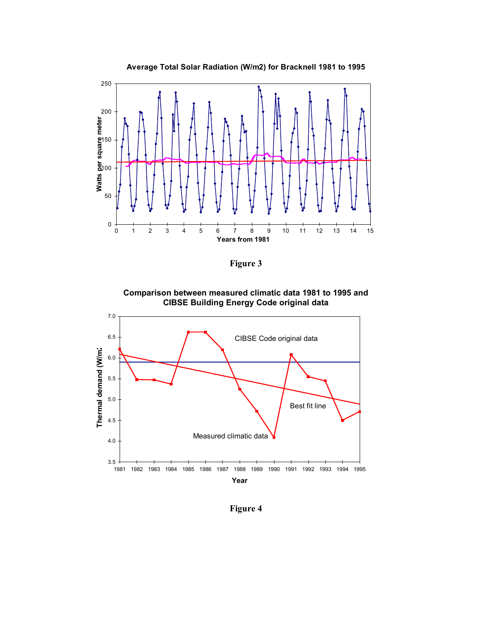

Figure 3

Comparison between measured climatic data 1981 to 1995 and CIBSE Building Energy Code original data



Figure 4